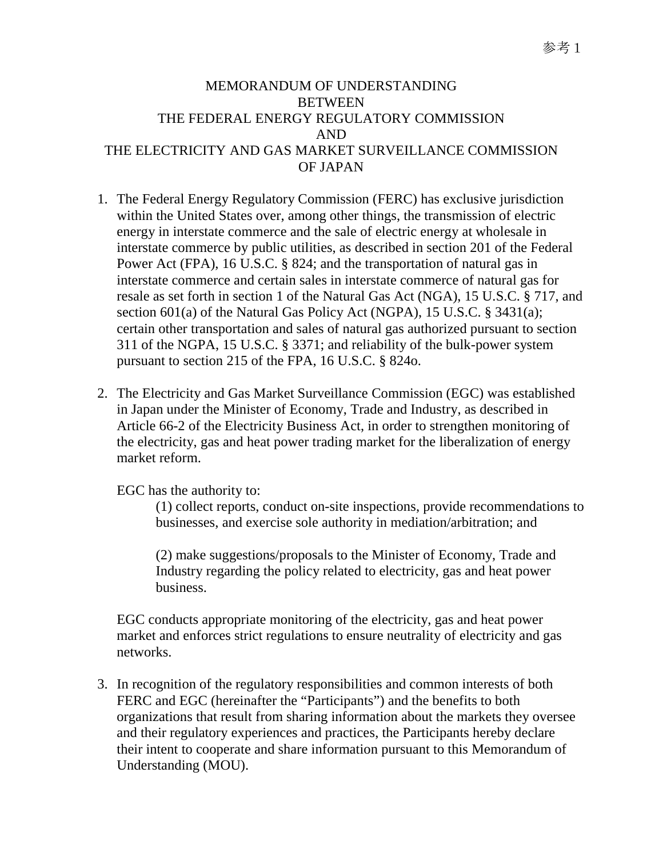## MEMORANDUM OF UNDERSTANDING BETWEEN THE FEDERAL ENERGY REGULATORY COMMISSION AND THE ELECTRICITY AND GAS MARKET SURVEILLANCE COMMISSION OF JAPAN

- 1. The Federal Energy Regulatory Commission (FERC) has exclusive jurisdiction within the United States over, among other things, the transmission of electric energy in interstate commerce and the sale of electric energy at wholesale in interstate commerce by public utilities, as described in section 201 of the Federal Power Act (FPA), 16 U.S.C. § 824; and the transportation of natural gas in interstate commerce and certain sales in interstate commerce of natural gas for resale as set forth in section 1 of the Natural Gas Act (NGA), 15 U.S.C. § 717, and section 601(a) of the Natural Gas Policy Act (NGPA), 15 U.S.C. § 3431(a); certain other transportation and sales of natural gas authorized pursuant to section 311 of the NGPA, 15 U.S.C. § 3371; and reliability of the bulk-power system pursuant to section 215 of the FPA, 16 U.S.C. § 824o.
- 2. The Electricity and Gas Market Surveillance Commission (EGC) was established in Japan under the Minister of Economy, Trade and Industry, as described in Article 66-2 of the Electricity Business Act, in order to strengthen monitoring of the electricity, gas and heat power trading market for the liberalization of energy market reform.

EGC has the authority to:

(1) collect reports, conduct on-site inspections, provide recommendations to businesses, and exercise sole authority in mediation/arbitration; and

(2) make suggestions/proposals to the Minister of Economy, Trade and Industry regarding the policy related to electricity, gas and heat power business.

EGC conducts appropriate monitoring of the electricity, gas and heat power market and enforces strict regulations to ensure neutrality of electricity and gas networks.

3. In recognition of the regulatory responsibilities and common interests of both FERC and EGC (hereinafter the "Participants") and the benefits to both organizations that result from sharing information about the markets they oversee and their regulatory experiences and practices, the Participants hereby declare their intent to cooperate and share information pursuant to this Memorandum of Understanding (MOU).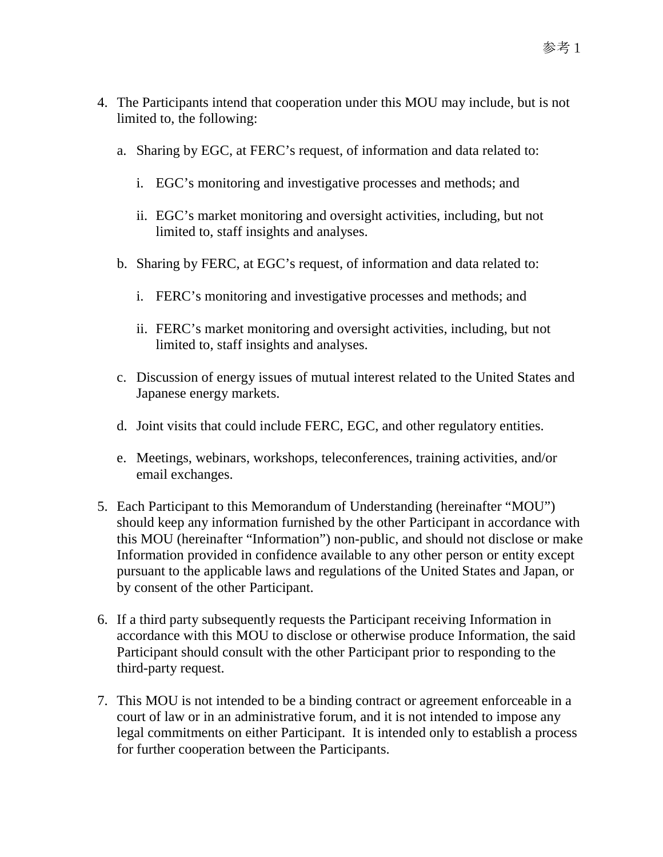- 4. The Participants intend that cooperation under this MOU may include, but is not limited to, the following:
	- a. Sharing by EGC, at FERC's request, of information and data related to:
		- i. EGC's monitoring and investigative processes and methods; and
		- ii. EGC's market monitoring and oversight activities, including, but not limited to, staff insights and analyses.
	- b. Sharing by FERC, at EGC's request, of information and data related to:
		- i. FERC's monitoring and investigative processes and methods; and
		- ii. FERC's market monitoring and oversight activities, including, but not limited to, staff insights and analyses.
	- c. Discussion of energy issues of mutual interest related to the United States and Japanese energy markets.
	- d. Joint visits that could include FERC, EGC, and other regulatory entities.
	- e. Meetings, webinars, workshops, teleconferences, training activities, and/or email exchanges.
- 5. Each Participant to this Memorandum of Understanding (hereinafter "MOU") should keep any information furnished by the other Participant in accordance with this MOU (hereinafter "Information") non-public, and should not disclose or make Information provided in confidence available to any other person or entity except pursuant to the applicable laws and regulations of the United States and Japan, or by consent of the other Participant.
- 6. If a third party subsequently requests the Participant receiving Information in accordance with this MOU to disclose or otherwise produce Information, the said Participant should consult with the other Participant prior to responding to the third-party request.
- 7. This MOU is not intended to be a binding contract or agreement enforceable in a court of law or in an administrative forum, and it is not intended to impose any legal commitments on either Participant. It is intended only to establish a process for further cooperation between the Participants.